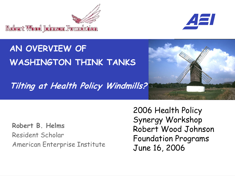



#### **AN OVERVIEW OF WASHINGTON THINK TANKS**

**Tilting at Health Policy Windmills?**



**Robert B. Helms** Resident Scholar American Enterprise Institute 2006 Health Policy Synergy Workshop Robert Wood Johnson Foundation Programs June 16, 2006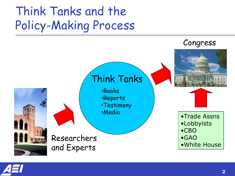### Think Tanks and the Policy-Making Process



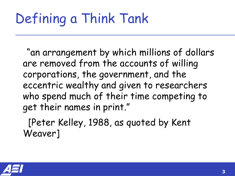### Defining a Think Tank

"an arrangement by which millions of dollars are removed from the accounts of willing corporations, the government, and the eccentric wealthy and given to researchers who spend much of their time competing to get their names in print."

[Peter Kelley, 1988, as quoted by Kent Weaver]

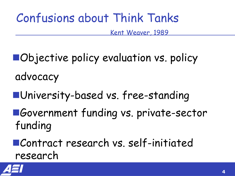### Confusions about Think Tanks

Kent Weaver, 1989

- **nObjective policy evaluation vs. policy** advocacy
- nUniversity-based vs. free-standing
- ■Government funding vs. private-sector funding

nContract research vs. self-initiated research

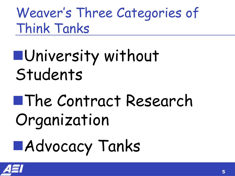Weaver's Three Categories of Think Tanks

## nUniversity without Students

# nThe Contract Research Organization

# nAdvocacy Tanks

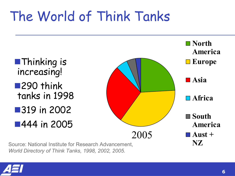### The World of Think Tanks



Source: National Institute for Research Advancement, *World Directory of Think Tanks, 1998, 2002, 2005.*

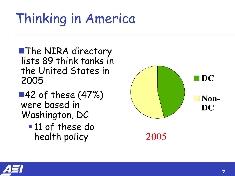### Thinking in America

**NThe NIRA directory** lists 89 think tanks in the United States in 2005

 $\blacksquare$ 42 of these (47%) were based in Washington, DC **11 of these do** 

health policy



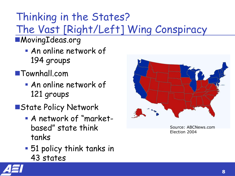#### Thinking in the States? The Vast [Right/Left] Wing Conspiracy

- ■MovingIdeas.org
	- **An online network of** 194 groups
- ■Townhall.com
	- **An online network of** 121 groups
- **NATALER Policy Network** 
	- **A** network of "marketbased" state think tanks
	- **51 policy think tanks in** 43 states



Source: ABCNews.com Election 2004

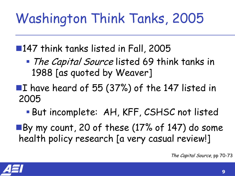### Washington Think Tanks, 2005

■147 think tanks listed in Fall, 2005

- The Capital Source listed 69 think tanks in 1988 [as quoted by Weaver]
- ■I have heard of 55 (37%) of the 147 listed in 2005
	- But incomplete: AH, KFF, CSHSC not listed
- ■By my count, 20 of these (17% of 147) do some health policy research [a very casual review!]

The Capital Source, pp 70-73

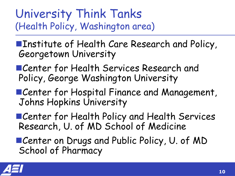#### University Think Tanks (Health Policy, Washington area)

**Example 11 Theory Areas** Research and Policy, Georgetown University

■Center for Health Services Research and Policy, George Washington University

- ■Center for Hospital Finance and Management, Johns Hopkins University
- **nCenter for Health Policy and Health Services** Research, U. of MD School of Medicine
- Center on Drugs and Public Policy, U. of MD School of Pharmacy

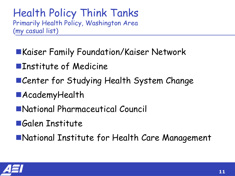#### Health Policy Think Tanks Primarily Health Policy, Washington Area (my casual list)

- **EXaiser Family Foundation/Kaiser Network**
- **NumInstitute of Medicine**
- **nCenter for Studying Health System Change**
- **MAcademyHealth**
- nNational Pharmaceutical Council
- **nGalen Institute**

■National Institute for Health Care Management

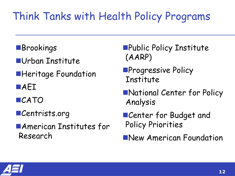#### Think Tanks with Health Policy Programs

- **NBrookings**
- **NUrban Institute**
- **E**Heritage Foundation
- **NAEI**
- **nCATO**
- ■Centrists.org
- **MAmerican Institutes for** Research
- **nPublic Policy Institute** (AARP)
- **nProgressive Policy** Institute
- **National Center for Policy** Analysis
- **nCenter for Budget and** Policy Priorities
- **New American Foundation**

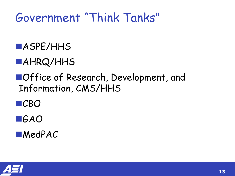### Government "Think Tanks"

#### nASPE/HHS

#### nAHRQ/HHS

■Office of Research, Development, and Information, CMS/HHS

■CBO

#### nGAO

**NedPAC** 

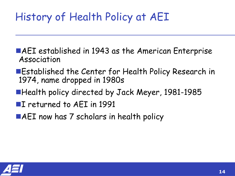#### History of Health Policy at AEI

- ■AEI established in 1943 as the American Enterprise Association
- ■Established the Center for Health Policy Research in 1974, name dropped in 1980s
- ■Health policy directed by Jack Meyer, 1981-1985
- ■I returned to AEI in 1991
- $\blacksquare$ AEI now has 7 scholars in health policy

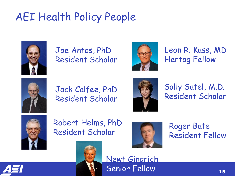#### AEI Health Policy People



Joe Antos, PhD Resident Scholar



Leon R. Kass, MD Hertog Fellow



Jack Calfee, PhD Resident Scholar



Sally Satel, M.D.<br>Resident Scholar



Robert Helms, PhD Resident Scholar



Newt Gingrich

Senior Fellow

Roger Bate Resident Fellow

**15**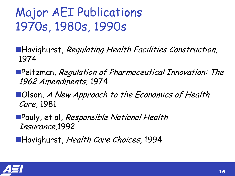### Major AEI Publications 1970s, 1980s, 1990s

- **Havighurst, Regulating Health Facilities Construction,** 1974
- nPeltzman, Regulation of Pharmaceutical Innovation: The 1962 Amendments, 1974
- ■Olson, A New Approach to the Economics of Health Care, 1981
- **nPauly, et al, Responsible National Health** Insurance,1992
- ■Havighurst, Health Care Choices, 1994

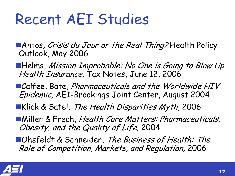## Recent AEI Studies

■Antos*, Crisis du Jour or the Real Thing?* Health Policy<br>Outlook, May 2006

- ■Helms, Mission Improbable: No One is Going to Blow Up Health Insurance, Tax Notes, June 12, 2006
- ■Calfee, Bate, Pharmaceuticals and the Worldwide HIV Epidemic, AEI-Brookings Joint Center, August 2004
- Klick & Satel, The Health Disparities Myth, 2006
- **Niller & Frech, Health Care Matters: Pharmaceuticals,** Obesity, and the Quality of Life, 2004
- **nOhsfeldt & Schneider, The Business of Health: The** Role of Competition, Markets, and Regulation, 2006

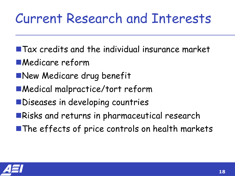### Current Research and Interests

- $\blacksquare$  Tax credits and the individual insurance market
- **nMedicare reform**
- **New Medicare drug benefit**
- ■Medical malpractice/tort reform
- **NDiseases in developing countries**
- **nRisks and returns in pharmaceutical research**
- $\blacksquare$  The effects of price controls on health markets

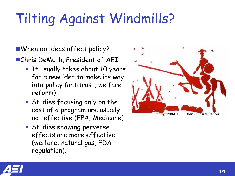## Tilting Against Windmills?

When do ideas affect policy?

■Chris DeMuth, President of AEI

- **The It usually takes about 10 years** for a new idea to make its way into policy (antitrust, welfare reform)
- **Studies focusing only on the** cost of a program are usually not effective (EPA, Medicare)
- **Studies showing perverse** effects are more effective (welfare, natural gas, FDA regulation).



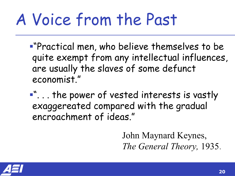## A Voice from the Past

- ß"Practical men, who believe themselves to be quite exempt from any intellectual influences, are usually the slaves of some defunct economist."
- ß". . . the power of vested interests is vastly exaggereated compared with the gradual encroachment of ideas."

John Maynard Keynes, *The General Theory,* 1935.